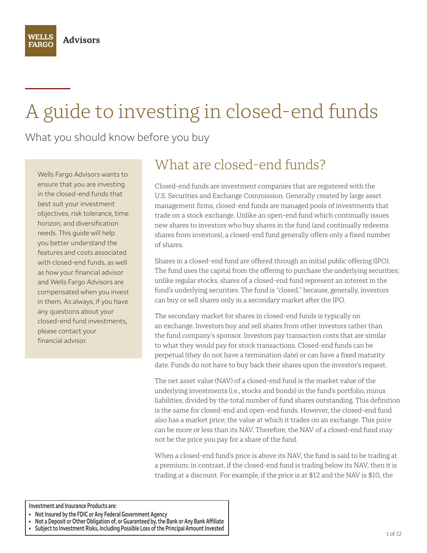WELLS

**FARGO** 

# A guide to investing in closed-end funds

What you should know before you buy

Wells Fargo Advisors wants to ensure that you are investing in the closed-end funds that best suit your investment objectives, risk tolerance, time horizon, and diversification needs. This guide will help you better understand the features and costs associated with closed-end funds, as well as how your financial advisor and Wells Fargo Advisors are compensated when you invest in them. As always, if you have any questions about your closed-end fund investments, please contact your financial advisor.

# What are closed-end funds?

Closed-end funds are investment companies that are registered with the U.S. Securities and Exchange Commission. Generally created by large asset management firms, closed-end funds are managed pools of investments that trade on a stock exchange. Unlike an open-end fund which continually issues new shares to investors who buy shares in the fund (and continually redeems shares from investors), a closed-end fund generally offers only a fixed number of shares.

Shares in a closed-end fund are offered through an initial public offering (IPO). The fund uses the capital from the offering to purchase the underlying securities; unlike regular stocks, shares of a closed-end fund represent an interest in the fund's underlying securities. The fund is "closed," because, generally, investors can buy or sell shares only in a secondary market after the IPO.

The secondary market for shares in closed-end funds is typically on an exchange. Investors buy and sell shares from other investors rather than the fund company's sponsor. Investors pay transaction costs that are similar to what they would pay for stock transactions. Closed-end funds can be perpetual (they do not have a termination date) or can have a fixed maturity date. Funds do not have to buy back their shares upon the investor's request.

The net asset value (NAV) of a closed-end fund is the market value of the underlying investments (i.e., stocks and bonds) in the fund's portfolio, minus liabilities, divided by the total number of fund shares outstanding. This definition is the same for closed-end and open-end funds. However, the closed-end fund also has a market price; the value at which it trades on an exchange. This price can be more or less than its NAV. Therefore, the NAV of a closed-end fund may not be the price you pay for a share of the fund.

When a closed-end fund's price is above its NAV, the fund is said to be trading at a premium; in contrast, if the closed-end fund is trading below its NAV, then it is trading at a discount. For example, if the price is at \$12 and the NAV is \$10, the

- **Not Insured by the FDIC or Any Federal Government Agency**
- Not a Deposit or Other Obligation of, or Guaranteed by, the Bank or Any Bank Affiliate
- **Subject to Investment Risks, Including Possible Loss of the Principal Amount Invested**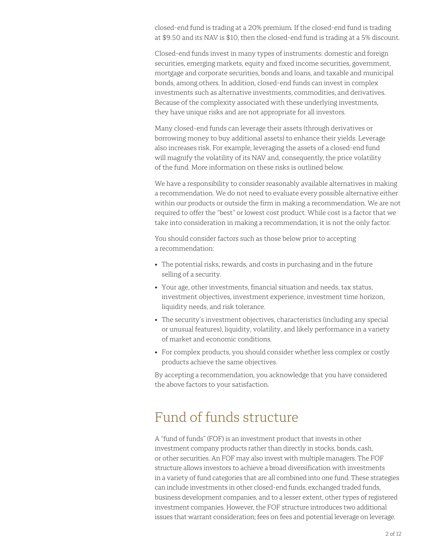closed-end fund is trading at a 20% premium. If the closed-end fund is trading at \$9.50 and its NAV is \$10, then the closed-end fund is trading at a 5% discount.

Closed-end funds invest in many types of instruments: domestic and foreign securities, emerging markets, equity and fixed income securities, government, mortgage and corporate securities, bonds and loans, and taxable and municipal bonds, among others. In addition, closed-end funds can invest in complex investments such as alternative investments, commodities, and derivatives. Because of the complexity associated with these underlying investments, they have unique risks and are not appropriate for all investors.

Many closed-end funds can leverage their assets (through derivatives or borrowing money to buy additional assets) to enhance their yields. Leverage also increases risk. For example, leveraging the assets of a closed-end fund will magnify the volatility of its NAV and, consequently, the price volatility of the fund. More information on these risks is outlined below.

We have a responsibility to consider reasonably available alternatives in making a recommendation. We do not need to evaluate every possible alternative either within our products or outside the firm in making a recommendation. We are not required to offer the "best" or lowest cost product. While cost is a factor that we take into consideration in making a recommendation, it is not the only factor.

You should consider factors such as those below prior to accepting a recommendation:

- The potential risks, rewards, and costs in purchasing and in the future selling of a security.
- Your age, other investments, financial situation and needs, tax status, investment objectives, investment experience, investment time horizon, liquidity needs, and risk tolerance.
- The security's investment objectives, characteristics (including any special or unusual features), liquidity, volatility, and likely performance in a variety of market and economic conditions.
- For complex products, you should consider whether less complex or costly products achieve the same objectives.

By accepting a recommendation, you acknowledge that you have considered the above factors to your satisfaction.

### Fund of funds structure

A "fund of funds" (FOF) is an investment product that invests in other investment company products rather than directly in stocks, bonds, cash, or other securities. An FOF may also invest with multiple managers. The FOF structure allows investors to achieve a broad diversification with investments in a variety of fund categories that are all combined into one fund. These strategies can include investments in other closed-end funds, exchanged traded funds, business development companies, and to a lesser extent, other types of registered investment companies. However, the FOF structure introduces two additional issues that warrant consideration; fees on fees and potential leverage on leverage.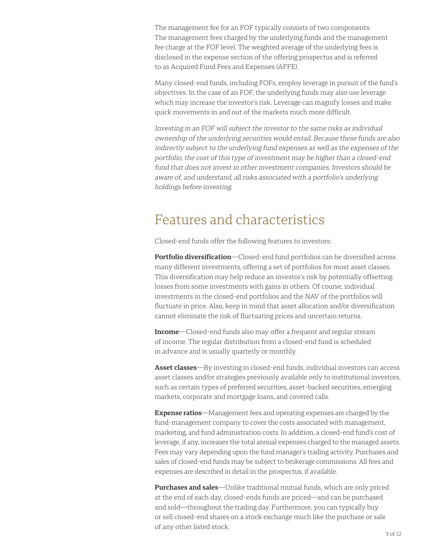The management fee for an FOF typically consists of two components: The management fees charged by the underlying funds and the management fee charge at the FOF level. The weighted average of the underlying fees is disclosed in the expense section of the offering prospectus and is referred to as Acquired Fund Fees and Expenses (AFFE).

Many closed-end funds, including FOFs, employ leverage in pursuit of the fund's objectives. In the case of an FOF, the underlying funds may also use leverage which may increase the investor's risk. Leverage can magnify losses and make quick movements in and out of the markets much more difficult.

Investing in an FOF will subject the investor to the same risks as individual ownership of the underlying securities would entail. Because these funds are also indirectly subject to the underlying fund expenses as well as the expenses of the portfolio, the cost of this type of investment may be higher than a closed-end fund that does not invest in other investment companies. Investors should be aware of, and understand, all risks associated with a portfolio's underlying holdings before investing.

#### Features and characteristics

Closed-end funds offer the following features to investors:

**Portfolio diversification**—Closed-end fund portfolios can be diversified across many different investments, offering a set of portfolios for most asset classes. This diversification may help reduce an investor's risk by potentially offsetting losses from some investments with gains in others. Of course, individual investments in the closed-end portfolios and the NAV of the portfolios will fluctuate in price. Also, keep in mind that asset allocation and/or diversification cannot eliminate the risk of fluctuating prices and uncertain returns.

**Income**—Closed-end funds also may offer a frequent and regular stream of income. The regular distribution from a closed-end fund is scheduled in advance and is usually quarterly or monthly.

**Asset classes**—By investing in closed-end funds, individual investors can access asset classes and/or strategies previously available only to institutional investors, such as certain types of preferred securities, asset-backed securities, emerging markets, corporate and mortgage loans, and covered calls.

**Expense ratios**—Management fees and operating expenses are charged by the fund-management company to cover the costs associated with management, marketing, and fund administration costs. In addition, a closed-end fund's cost of leverage, if any, increases the total annual expenses charged to the managed assets. Fees may vary depending upon the fund manager's trading activity. Purchases and sales of closed-end funds may be subject to brokerage commissions. All fees and expenses are described in detail in the prospectus, if available.

**Purchases and sales**—Unlike traditional mutual funds, which are only priced at the end of each day, closed-ends funds are priced—and can be purchased and sold—throughout the trading day. Furthermore, you can typically buy or sell closed-end shares on a stock exchange much like the purchase or sale of any other listed stock.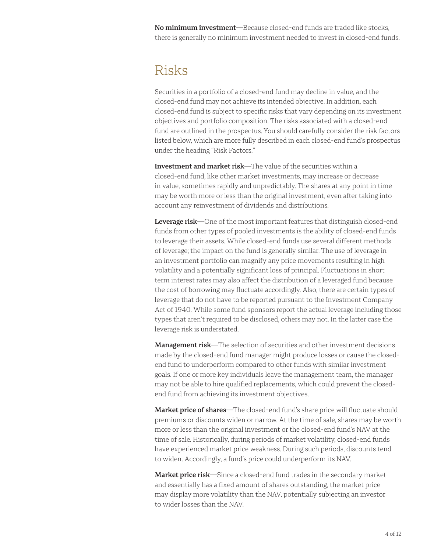**No minimum investment**—Because closed-end funds are traded like stocks, there is generally no minimum investment needed to invest in closed-end funds.

#### Risks

Securities in a portfolio of a closed-end fund may decline in value, and the closed-end fund may not achieve its intended objective. In addition, each closed-end fund is subject to specific risks that vary depending on its investment objectives and portfolio composition. The risks associated with a closed-end fund are outlined in the prospectus. You should carefully consider the risk factors listed below, which are more fully described in each closed-end fund's prospectus under the heading "Risk Factors."

**Investment and market risk**—The value of the securities within a closed-end fund, like other market investments, may increase or decrease in value, sometimes rapidly and unpredictably. The shares at any point in time may be worth more or less than the original investment, even after taking into account any reinvestment of dividends and distributions.

**Leverage risk**—One of the most important features that distinguish closed-end funds from other types of pooled investments is the ability of closed-end funds to leverage their assets. While closed-end funds use several different methods of leverage; the impact on the fund is generally similar. The use of leverage in an investment portfolio can magnify any price movements resulting in high volatility and a potentially significant loss of principal. Fluctuations in short term interest rates may also affect the distribution of a leveraged fund because the cost of borrowing may fluctuate accordingly. Also, there are certain types of leverage that do not have to be reported pursuant to the Investment Company Act of 1940. While some fund sponsors report the actual leverage including those types that aren't required to be disclosed, others may not. In the latter case the leverage risk is understated.

**Management risk**—The selection of securities and other investment decisions made by the closed-end fund manager might produce losses or cause the closedend fund to underperform compared to other funds with similar investment goals. If one or more key individuals leave the management team, the manager may not be able to hire qualified replacements, which could prevent the closedend fund from achieving its investment objectives.

**Market price of shares**—The closed-end fund's share price will fluctuate should premiums or discounts widen or narrow. At the time of sale, shares may be worth more or less than the original investment or the closed-end fund's NAV at the time of sale. Historically, during periods of market volatility, closed-end funds have experienced market price weakness. During such periods, discounts tend to widen. Accordingly, a fund's price could underperform its NAV.

**Market price risk**—Since a closed-end fund trades in the secondary market and essentially has a fixed amount of shares outstanding, the market price may display more volatility than the NAV, potentially subjecting an investor to wider losses than the NAV.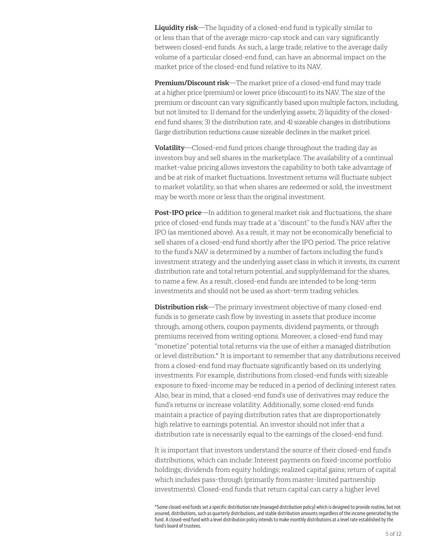**Liquidity risk**—The liquidity of a closed-end fund is typically similar to or less than that of the average micro-cap stock and can vary significantly between closed-end funds. As such, a large trade, relative to the average daily volume of a particular closed-end fund, can have an abnormal impact on the market price of the closed-end fund relative to its NAV.

**Premium/Discount risk**—The market price of a closed-end fund may trade at a higher price (premium) or lower price (discount) to its NAV. The size of the premium or discount can vary significantly based upon multiple factors, including, but not limited to: 1) demand for the underlying assets; 2) liquidity of the closedend fund shares; 3) the distribution rate, and 4) sizeable changes in distributions (large distribution reductions cause sizeable declines in the market price).

**Volatility**—Closed-end fund prices change throughout the trading day as investors buy and sell shares in the marketplace. The availability of a continual market-value pricing allows investors the capability to both take advantage of and be at risk of market fluctuations. Investment returns will fluctuate subject to market volatility, so that when shares are redeemed or sold, the investment may be worth more or less than the original investment.

**Post-IPO price**—In addition to general market risk and fluctuations, the share price of closed-end funds may trade at a "discount" to the fund's NAV after the IPO (as mentioned above). As a result, it may not be economically beneficial to sell shares of a closed-end fund shortly after the IPO period. The price relative to the fund's NAV is determined by a number of factors including the fund's investment strategy and the underlying asset class in which it invests, its current distribution rate and total return potential, and supply/demand for the shares, to name a few. As a result, closed-end funds are intended to be long-term investments and should not be used as short-term trading vehicles.

**Distribution risk**—The primary investment objective of many closed-end funds is to generate cash flow by investing in assets that produce income through, among others, coupon payments, dividend payments, or through premiums received from writing options. Moreover, a closed-end fund may "monetize" potential total returns via the use of either a managed distribution or level distribution.\* It is important to remember that any distributions received from a closed-end fund may fluctuate significantly based on its underlying investments. For example, distributions from closed-end funds with sizeable exposure to fixed-income may be reduced in a period of declining interest rates. Also, bear in mind, that a closed-end fund's use of derivatives may reduce the fund's returns or increase volatility. Additionally, some closed-end funds maintain a practice of paying distribution rates that are disproportionately high relative to earnings potential. An investor should not infer that a distribution rate is necessarily equal to the earnings of the closed-end fund.

It is important that investors understand the source of their closed-end fund's distributions, which can include: Interest payments on fixed-income portfolio holdings; dividends from equity holdings; realized capital gains; return of capital which includes pass-through (primarily from master-limited partnership investments). Closed-end funds that return capital can carry a higher level

<sup>\*</sup>Some closed-end funds set a specific distribution rate (managed distribution policy) which is designed to provide routine, but not assured, distributions, such as quarterly distributions, and stable distribution amounts regardless of the income generated by the fund. A closed-end fund with a level distribution policy intends to make monthly distributions at a level rate established by the fund's board of trustees.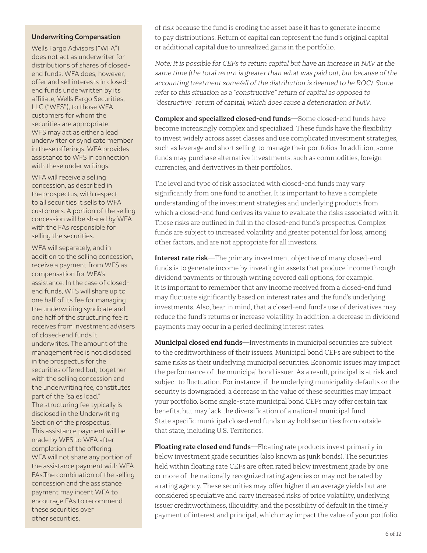#### **Underwriting Compensation**

Wells Fargo Advisors ("WFA") does not act as underwriter for distributions of shares of closedend funds. WFA does, however, offer and sell interests in closedend funds underwritten by its affiliate, Wells Fargo Securities, LLC ("WFS"), to those WFA customers for whom the securities are appropriate. WFS may act as either a lead underwriter or syndicate member in these offerings. WFA provides assistance to WFS in connection with these under writings.

WFA will receive a selling concession, as described in the prospectus, with respect to all securities it sells to WFA customers. A portion of the selling concession will be shared by WFA with the FAs responsible for selling the securities.

WFA will separately, and in addition to the selling concession, receive a payment from WFS as compensation for WFA's assistance. In the case of closedend funds, WFS will share up to one half of its fee for managing the underwriting syndicate and one half of the structuring fee it receives from investment advisers of closed-end funds it underwrites. The amount of the management fee is not disclosed in the prospectus for the securities offered but, together with the selling concession and the underwriting fee, constitutes part of the "sales load." The structuring fee typically is disclosed in the Underwriting Section of the prospectus. This assistance payment will be made by WFS to WFA after completion of the offering. WFA will not share any portion of the assistance payment with WFA FAs.The combination of the selling concession and the assistance payment may incent WFA to encourage FAs to recommend these securities over other securities.

of risk because the fund is eroding the asset base it has to generate income to pay distributions. Return of capital can represent the fund's original capital or additional capital due to unrealized gains in the portfolio.

Note: It is possible for CEFs to return capital but have an increase in NAV at the same time (the total return is greater than what was paid out, but because of the accounting treatment some/all of the distribution is deemed to be ROC). Some refer to this situation as a "constructive" return of capital as opposed to "destructive" return of capital, which does cause a deterioration of NAV.

**Complex and specialized closed-end funds**—Some closed-end funds have become increasingly complex and specialized. These funds have the flexibility to invest widely across asset classes and use complicated investment strategies, such as leverage and short selling, to manage their portfolios. In addition, some funds may purchase alternative investments, such as commodities, foreign currencies, and derivatives in their portfolios.

The level and type of risk associated with closed-end funds may vary significantly from one fund to another. It is important to have a complete understanding of the investment strategies and underlying products from which a closed-end fund derives its value to evaluate the risks associated with it. These risks are outlined in full in the closed-end fund's prospectus. Complex funds are subject to increased volatility and greater potential for loss, among other factors, and are not appropriate for all investors.

**Interest rate risk**—The primary investment objective of many closed-end funds is to generate income by investing in assets that produce income through dividend payments or through writing covered call options, for example. It is important to remember that any income received from a closed-end fund may fluctuate significantly based on interest rates and the fund's underlying investments. Also, bear in mind, that a closed-end fund's use of derivatives may reduce the fund's returns or increase volatility. In addition, a decrease in dividend payments may occur in a period declining interest rates.

**Municipal closed end funds**—Investments in municipal securities are subject to the creditworthiness of their issuers. Municipal bond CEFs are subject to the same risks as their underlying municipal securities. Economic issues may impact the performance of the municipal bond issuer. As a result, principal is at risk and subject to fluctuation. For instance, if the underlying municipality defaults or the security is downgraded, a decrease in the value of these securities may impact your portfolio. Some single-state municipal bond CEFs may offer certain tax benefits, but may lack the diversification of a national municipal fund. State specific municipal closed end funds may hold securities from outside that state, including U.S. Territories.

**Floating rate closed end funds**—Floating rate products invest primarily in below investment grade securities (also known as junk bonds). The securities held within floating rate CEFs are often rated below investment grade by one or more of the nationally recognized rating agencies or may not be rated by a rating agency. These securities may offer higher than average yields but are considered speculative and carry increased risks of price volatility, underlying issuer creditworthiness, illiquidity, and the possibility of default in the timely payment of interest and principal, which may impact the value of your portfolio.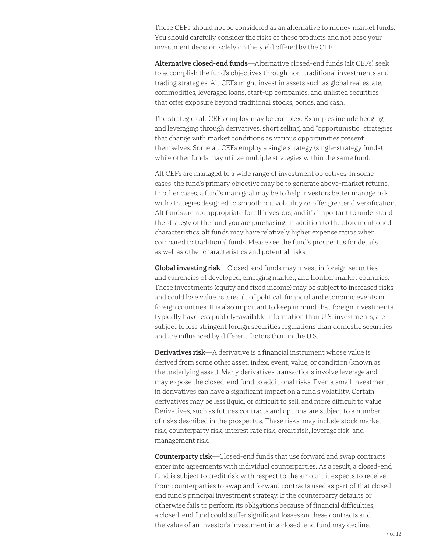These CEFs should not be considered as an alternative to money market funds. You should carefully consider the risks of these products and not base your investment decision solely on the yield offered by the CEF.

**Alternative closed-end funds**—Alternative closed-end funds (alt CEFs) seek to accomplish the fund's objectives through non-traditional investments and trading strategies. Alt CEFs might invest in assets such as global real estate, commodities, leveraged loans, start-up companies, and unlisted securities that offer exposure beyond traditional stocks, bonds, and cash.

The strategies alt CEFs employ may be complex. Examples include hedging and leveraging through derivatives, short selling, and "opportunistic" strategies that change with market conditions as various opportunities present themselves. Some alt CEFs employ a single strategy (single-strategy funds), while other funds may utilize multiple strategies within the same fund.

Alt CEFs are managed to a wide range of investment objectives. In some cases, the fund's primary objective may be to generate above-market returns. In other cases, a fund's main goal may be to help investors better manage risk with strategies designed to smooth out volatility or offer greater diversification. Alt funds are not appropriate for all investors, and it's important to understand the strategy of the fund you are purchasing. In addition to the aforementioned characteristics, alt funds may have relatively higher expense ratios when compared to traditional funds. Please see the fund's prospectus for details as well as other characteristics and potential risks.

**Global investing risk**—Closed-end funds may invest in foreign securities and currencies of developed, emerging market, and frontier market countries. These investments (equity and fixed income) may be subject to increased risks and could lose value as a result of political, financial and economic events in foreign countries. It is also important to keep in mind that foreign investments typically have less publicly-available information than U.S. investments, are subject to less stringent foreign securities regulations than domestic securities and are influenced by different factors than in the U.S.

**Derivatives risk**—A derivative is a financial instrument whose value is derived from some other asset, index, event, value, or condition (known as the underlying asset). Many derivatives transactions involve leverage and may expose the closed-end fund to additional risks. Even a small investment in derivatives can have a significant impact on a fund's volatility. Certain derivatives may be less liquid, or difficult to sell, and more difficult to value. Derivatives, such as futures contracts and options, are subject to a number of risks described in the prospectus. These risks-may include stock market risk, counterparty risk, interest rate risk, credit risk, leverage risk, and management risk.

**Counterparty risk**—Closed-end funds that use forward and swap contracts enter into agreements with individual counterparties. As a result, a closed-end fund is subject to credit risk with respect to the amount it expects to receive from counterparties to swap and forward contracts used as part of that closedend fund's principal investment strategy. If the counterparty defaults or otherwise fails to perform its obligations because of financial difficulties, a closed-end fund could suffer significant losses on these contracts and the value of an investor's investment in a closed-end fund may decline.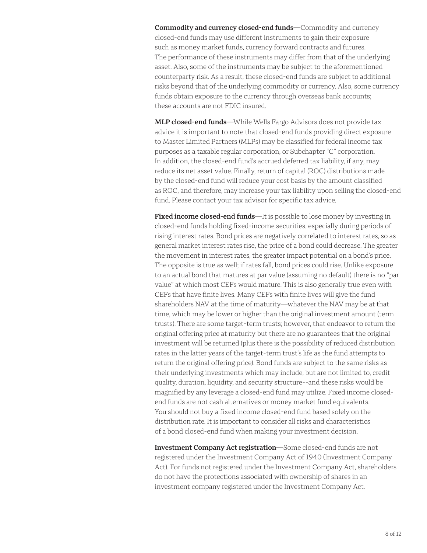**Commodity and currency closed-end funds**—Commodity and currency closed-end funds may use different instruments to gain their exposure such as money market funds, currency forward contracts and futures. The performance of these instruments may differ from that of the underlying asset. Also, some of the instruments may be subject to the aforementioned counterparty risk. As a result, these closed-end funds are subject to additional risks beyond that of the underlying commodity or currency. Also, some currency funds obtain exposure to the currency through overseas bank accounts; these accounts are not FDIC insured.

**MLP closed-end funds**—While Wells Fargo Advisors does not provide tax advice it is important to note that closed-end funds providing direct exposure to Master Limited Partners (MLPs) may be classified for federal income tax purposes as a taxable regular corporation, or Subchapter "C" corporation. In addition, the closed-end fund's accrued deferred tax liability, if any, may reduce its net asset value. Finally, return of capital (ROC) distributions made by the closed-end fund will reduce your cost basis by the amount classified as ROC, and therefore, may increase your tax liability upon selling the closed-end fund. Please contact your tax advisor for specific tax advice.

**Fixed income closed-end funds**—It is possible to lose money by investing in closed-end funds holding fixed-income securities, especially during periods of rising interest rates. Bond prices are negatively correlated to interest rates, so as general market interest rates rise, the price of a bond could decrease. The greater the movement in interest rates, the greater impact potential on a bond's price. The opposite is true as well; if rates fall, bond prices could rise. Unlike exposure to an actual bond that matures at par value (assuming no default) there is no "par value" at which most CEFs would mature. This is also generally true even with CEFs that have finite lives. Many CEFs with finite lives will give the fund shareholders NAV at the time of maturity—whatever the NAV may be at that time, which may be lower or higher than the original investment amount (term trusts). There are some target-term trusts; however, that endeavor to return the original offering price at maturity but there are no guarantees that the original investment will be returned (plus there is the possibility of reduced distribution rates in the latter years of the target-term trust's life as the fund attempts to return the original offering price). Bond funds are subject to the same risks as their underlying investments which may include, but are not limited to, credit quality, duration, liquidity, and security structure--and these risks would be magnified by any leverage a closed-end fund may utilize. Fixed income closedend funds are not cash alternatives or money market fund equivalents. You should not buy a fixed income closed-end fund based solely on the distribution rate. It is important to consider all risks and characteristics of a bond closed-end fund when making your investment decision.

**Investment Company Act registration**—Some closed-end funds are not registered under the Investment Company Act of 1940 (Investment Company Act). For funds not registered under the Investment Company Act, shareholders do not have the protections associated with ownership of shares in an investment company registered under the Investment Company Act.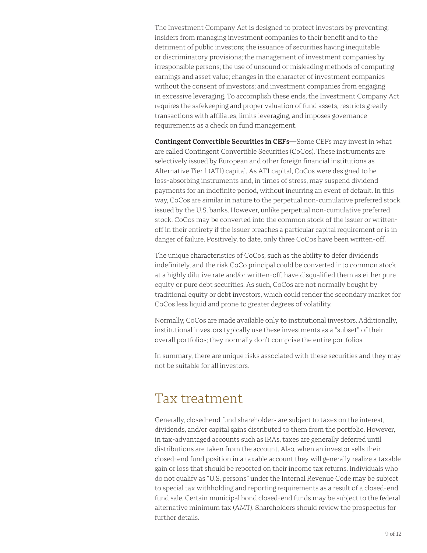The Investment Company Act is designed to protect investors by preventing: insiders from managing investment companies to their benefit and to the detriment of public investors; the issuance of securities having inequitable or discriminatory provisions; the management of investment companies by irresponsible persons; the use of unsound or misleading methods of computing earnings and asset value; changes in the character of investment companies without the consent of investors; and investment companies from engaging in excessive leveraging. To accomplish these ends, the Investment Company Act requires the safekeeping and proper valuation of fund assets, restricts greatly transactions with affiliates, limits leveraging, and imposes governance requirements as a check on fund management.

**Contingent Convertible Securities in CEFs**—Some CEFs may invest in what are called Contingent Convertible Securities (CoCos). These instruments are selectively issued by European and other foreign financial institutions as Alternative Tier 1 (AT1) capital. As AT1 capital, CoCos were designed to be loss-absorbing instruments and, in times of stress, may suspend dividend payments for an indefinite period, without incurring an event of default. In this way, CoCos are similar in nature to the perpetual non-cumulative preferred stock issued by the U.S. banks. However, unlike perpetual non-cumulative preferred stock, CoCos may be converted into the common stock of the issuer or writtenoff in their entirety if the issuer breaches a particular capital requirement or is in danger of failure. Positively, to date, only three CoCos have been written-off.

The unique characteristics of CoCos, such as the ability to defer dividends indefinitely, and the risk CoCo principal could be converted into common stock at a highly dilutive rate and/or written-off, have disqualified them as either pure equity or pure debt securities. As such, CoCos are not normally bought by traditional equity or debt investors, which could render the secondary market for CoCos less liquid and prone to greater degrees of volatility.

Normally, CoCos are made available only to institutional investors. Additionally, institutional investors typically use these investments as a "subset" of their overall portfolios; they normally don't comprise the entire portfolios.

In summary, there are unique risks associated with these securities and they may not be suitable for all investors.

#### Tax treatment

Generally, closed-end fund shareholders are subject to taxes on the interest, dividends, and/or capital gains distributed to them from the portfolio. However, in tax-advantaged accounts such as IRAs, taxes are generally deferred until distributions are taken from the account. Also, when an investor sells their closed-end fund position in a taxable account they will generally realize a taxable gain or loss that should be reported on their income tax returns. Individuals who do not qualify as "U.S. persons" under the Internal Revenue Code may be subject to special tax withholding and reporting requirements as a result of a closed-end fund sale. Certain municipal bond closed-end funds may be subject to the federal alternative minimum tax (AMT). Shareholders should review the prospectus for further details.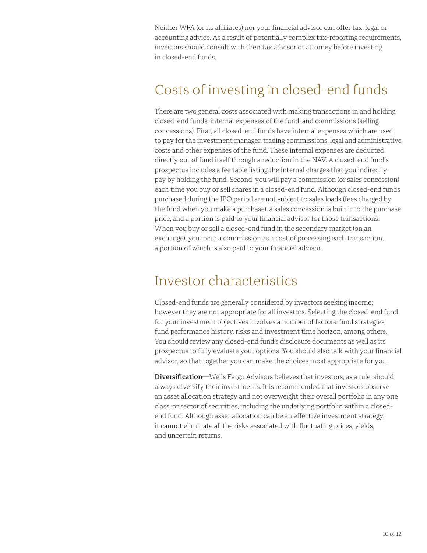Neither WFA (or its affiliates) nor your financial advisor can offer tax, legal or accounting advice. As a result of potentially complex tax-reporting requirements, investors should consult with their tax advisor or attorney before investing in closed-end funds.

## Costs of investing in closed-end funds

There are two general costs associated with making transactions in and holding closed-end funds; internal expenses of the fund, and commissions (selling concessions). First, all closed-end funds have internal expenses which are used to pay for the investment manager, trading commissions, legal and administrative costs and other expenses of the fund. These internal expenses are deducted directly out of fund itself through a reduction in the NAV. A closed-end fund's prospectus includes a fee table listing the internal charges that you indirectly pay by holding the fund. Second, you will pay a commission (or sales concession) each time you buy or sell shares in a closed-end fund. Although closed-end funds purchased during the IPO period are not subject to sales loads (fees charged by the fund when you make a purchase), a sales concession is built into the purchase price, and a portion is paid to your financial advisor for those transactions. When you buy or sell a closed-end fund in the secondary market (on an exchange), you incur a commission as a cost of processing each transaction, a portion of which is also paid to your financial advisor.

#### Investor characteristics

Closed-end funds are generally considered by investors seeking income; however they are not appropriate for all investors. Selecting the closed-end fund for your investment objectives involves a number of factors: fund strategies, fund performance history, risks and investment time horizon, among others. You should review any closed-end fund's disclosure documents as well as its prospectus to fully evaluate your options. You should also talk with your financial advisor, so that together you can make the choices most appropriate for you.

**Diversification**—Wells Fargo Advisors believes that investors, as a rule, should always diversify their investments. It is recommended that investors observe an asset allocation strategy and not overweight their overall portfolio in any one class, or sector of securities, including the underlying portfolio within a closedend fund. Although asset allocation can be an effective investment strategy, it cannot eliminate all the risks associated with fluctuating prices, yields, and uncertain returns.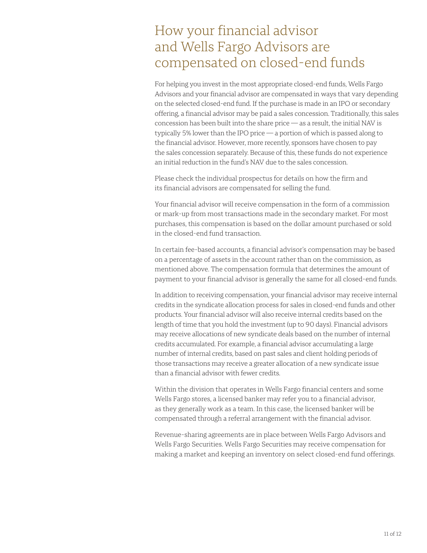## How your financial advisor and Wells Fargo Advisors are compensated on closed-end funds

For helping you invest in the most appropriate closed-end funds, Wells Fargo Advisors and your financial advisor are compensated in ways that vary depending on the selected closed-end fund. If the purchase is made in an IPO or secondary offering, a financial advisor may be paid a sales concession. Traditionally, this sales concession has been built into the share price — as a result, the initial NAV is typically 5% lower than the IPO price — a portion of which is passed along to the financial advisor. However, more recently, sponsors have chosen to pay the sales concession separately. Because of this, these funds do not experience an initial reduction in the fund's NAV due to the sales concession.

Please check the individual prospectus for details on how the firm and its financial advisors are compensated for selling the fund.

Your financial advisor will receive compensation in the form of a commission or mark-up from most transactions made in the secondary market. For most purchases, this compensation is based on the dollar amount purchased or sold in the closed-end fund transaction.

In certain fee-based accounts, a financial advisor's compensation may be based on a percentage of assets in the account rather than on the commission, as mentioned above. The compensation formula that determines the amount of payment to your financial advisor is generally the same for all closed-end funds.

In addition to receiving compensation, your financial advisor may receive internal credits in the syndicate allocation process for sales in closed-end funds and other products. Your financial advisor will also receive internal credits based on the length of time that you hold the investment (up to 90 days). Financial advisors may receive allocations of new syndicate deals based on the number of internal credits accumulated. For example, a financial advisor accumulating a large number of internal credits, based on past sales and client holding periods of those transactions may receive a greater allocation of a new syndicate issue than a financial advisor with fewer credits.

Within the division that operates in Wells Fargo financial centers and some Wells Fargo stores, a licensed banker may refer you to a financial advisor, as they generally work as a team. In this case, the licensed banker will be compensated through a referral arrangement with the financial advisor.

Revenue-sharing agreements are in place between Wells Fargo Advisors and Wells Fargo Securities. Wells Fargo Securities may receive compensation for making a market and keeping an inventory on select closed-end fund offerings.